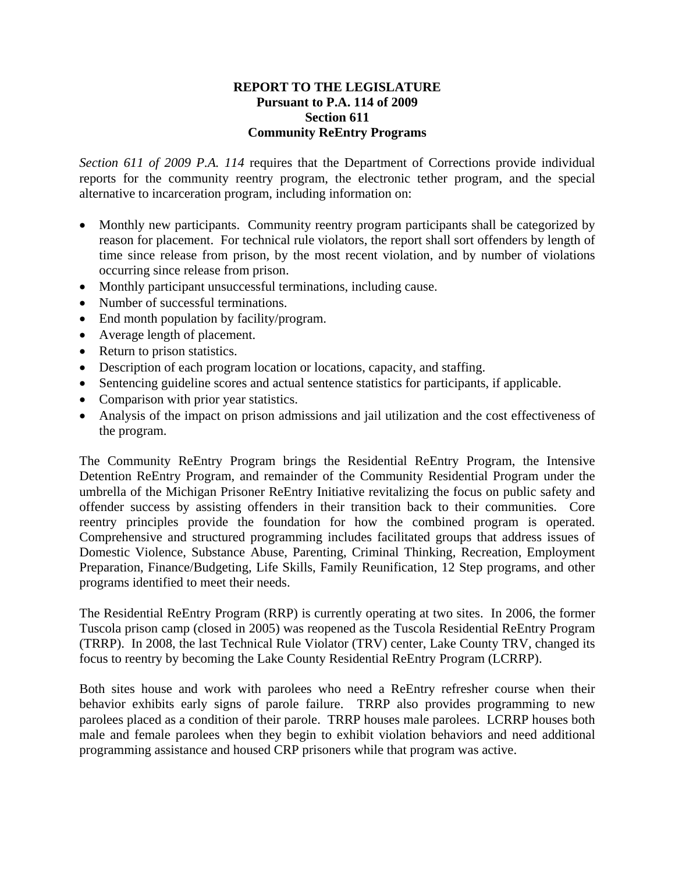# **REPORT TO THE LEGISLATURE Pursuant to P.A. 114 of 2009 Section 611 Community ReEntry Programs**

*Section 611 of 2009 P.A. 114* requires that the Department of Corrections provide individual reports for the community reentry program, the electronic tether program, and the special alternative to incarceration program, including information on:

- Monthly new participants. Community reentry program participants shall be categorized by reason for placement. For technical rule violators, the report shall sort offenders by length of time since release from prison, by the most recent violation, and by number of violations occurring since release from prison.
- Monthly participant unsuccessful terminations, including cause.
- Number of successful terminations.
- End month population by facility/program.
- Average length of placement.
- Return to prison statistics.
- Description of each program location or locations, capacity, and staffing.
- Sentencing guideline scores and actual sentence statistics for participants, if applicable.
- Comparison with prior year statistics.
- Analysis of the impact on prison admissions and jail utilization and the cost effectiveness of the program.

The Community ReEntry Program brings the Residential ReEntry Program, the Intensive Detention ReEntry Program, and remainder of the Community Residential Program under the umbrella of the Michigan Prisoner ReEntry Initiative revitalizing the focus on public safety and offender success by assisting offenders in their transition back to their communities. Core reentry principles provide the foundation for how the combined program is operated. Comprehensive and structured programming includes facilitated groups that address issues of Domestic Violence, Substance Abuse, Parenting, Criminal Thinking, Recreation, Employment Preparation, Finance/Budgeting, Life Skills, Family Reunification, 12 Step programs, and other programs identified to meet their needs.

The Residential ReEntry Program (RRP) is currently operating at two sites. In 2006, the former Tuscola prison camp (closed in 2005) was reopened as the Tuscola Residential ReEntry Program (TRRP). In 2008, the last Technical Rule Violator (TRV) center, Lake County TRV, changed its focus to reentry by becoming the Lake County Residential ReEntry Program (LCRRP).

Both sites house and work with parolees who need a ReEntry refresher course when their behavior exhibits early signs of parole failure. TRRP also provides programming to new parolees placed as a condition of their parole. TRRP houses male parolees. LCRRP houses both male and female parolees when they begin to exhibit violation behaviors and need additional programming assistance and housed CRP prisoners while that program was active.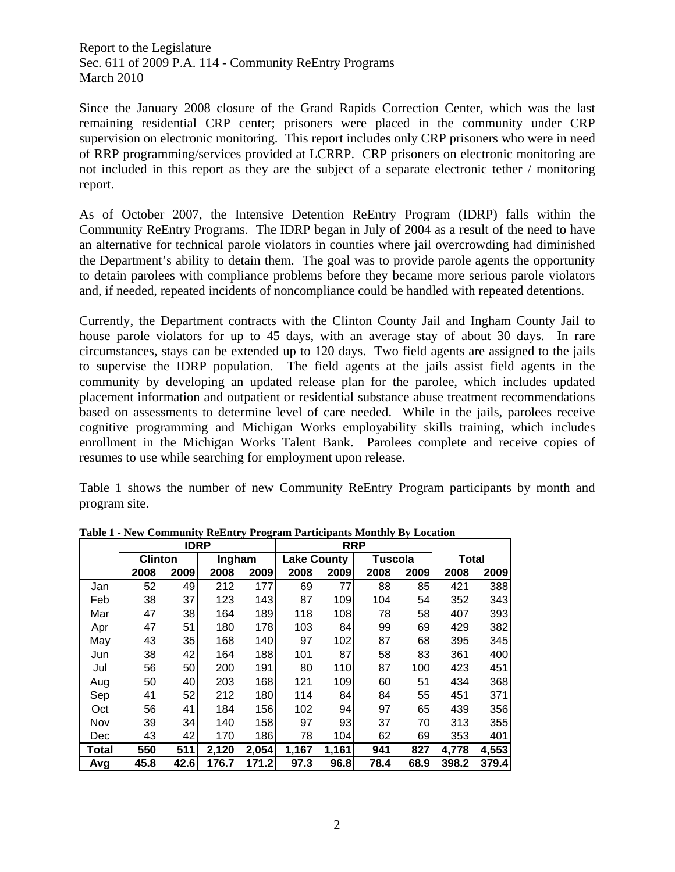Since the January 2008 closure of the Grand Rapids Correction Center, which was the last remaining residential CRP center; prisoners were placed in the community under CRP supervision on electronic monitoring. This report includes only CRP prisoners who were in need of RRP programming/services provided at LCRRP. CRP prisoners on electronic monitoring are not included in this report as they are the subject of a separate electronic tether / monitoring report.

As of October 2007, the Intensive Detention ReEntry Program (IDRP) falls within the Community ReEntry Programs. The IDRP began in July of 2004 as a result of the need to have an alternative for technical parole violators in counties where jail overcrowding had diminished the Department's ability to detain them. The goal was to provide parole agents the opportunity to detain parolees with compliance problems before they became more serious parole violators and, if needed, repeated incidents of noncompliance could be handled with repeated detentions.

Currently, the Department contracts with the Clinton County Jail and Ingham County Jail to house parole violators for up to 45 days, with an average stay of about 30 days. In rare circumstances, stays can be extended up to 120 days. Two field agents are assigned to the jails to supervise the IDRP population. The field agents at the jails assist field agents in the community by developing an updated release plan for the parolee, which includes updated placement information and outpatient or residential substance abuse treatment recommendations based on assessments to determine level of care needed. While in the jails, parolees receive cognitive programming and Michigan Works employability skills training, which includes enrollment in the Michigan Works Talent Bank. Parolees complete and receive copies of resumes to use while searching for employment upon release.

Table 1 shows the number of new Community ReEntry Program participants by month and program site.

|            |                | <b>IDRP</b> |        |       |                    | <b>RRP</b> |         |      |              |       |
|------------|----------------|-------------|--------|-------|--------------------|------------|---------|------|--------------|-------|
|            | <b>Clinton</b> |             | Ingham |       | <b>Lake County</b> |            | Tuscola |      | <b>Total</b> |       |
|            | 2008           | 2009        | 2008   | 2009  | 2008               | 2009       | 2008    | 2009 | 2008         | 2009  |
| Jan        | 52             | 49          | 212    | 177   | 69                 | 77         | 88      | 85   | 421          | 388   |
| Feb        | 38             | 37          | 123    | 143   | 87                 | 109        | 104     | 54   | 352          | 343   |
| Mar        | 47             | 38          | 164    | 189   | 118                | 108        | 78      | 58   | 407          | 393   |
| Apr        | 47             | 51          | 180    | 178   | 103                | 84         | 99      | 69   | 429          | 382   |
| May        | 43             | 35          | 168    | 140   | 97                 | 102        | 87      | 68   | 395          | 345   |
| Jun        | 38             | 42          | 164    | 188   | 101                | 87         | 58      | 83   | 361          | 400   |
| Jul        | 56             | 50          | 200    | 191   | 80                 | 110        | 87      | 100  | 423          | 451   |
| Aug        | 50             | 40          | 203    | 168   | 121                | 109        | 60      | 51   | 434          | 368   |
| Sep        | 41             | 52          | 212    | 180   | 114                | 84         | 84      | 55   | 451          | 371   |
| Oct        | 56             | 41          | 184    | 156   | 102                | 94         | 97      | 65   | 439          | 356   |
| Nov        | 39             | 34          | 140    | 158   | 97                 | 93         | 37      | 70   | 313          | 355   |
| <b>Dec</b> | 43             | 42          | 170    | 186   | 78                 | 104        | 62      | 69   | 353          | 401   |
| Total      | 550            | 511         | 2,120  | 2,054 | 1,167              | 1,161      | 941     | 827  | 4,778        | 4,553 |
| Avg        | 45.8           | 42.6        | 176.7  | 171.2 | 97.3               | 96.8       | 78.4    | 68.9 | 398.2        | 379.4 |

**Table 1 - New Community ReEntry Program Participants Monthly By Location**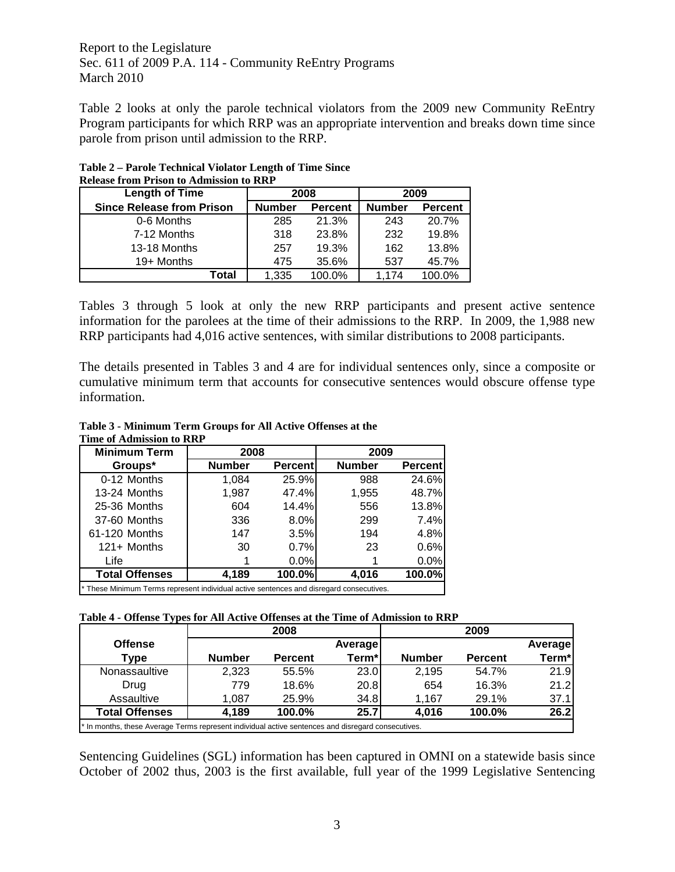Table 2 looks at only the parole technical violators from the 2009 new Community ReEntry Program participants for which RRP was an appropriate intervention and breaks down time since parole from prison until admission to the RRP.

| <b>Length of Time</b>            |               | 2008           | 2009          |                |  |
|----------------------------------|---------------|----------------|---------------|----------------|--|
| <b>Since Release from Prison</b> | <b>Number</b> | <b>Percent</b> | <b>Number</b> | <b>Percent</b> |  |
| 0-6 Months                       | 285           | 21.3%          | 243           | 20.7%          |  |
| 7-12 Months                      | 318           | 23.8%          | 232           | 19.8%          |  |
| 13-18 Months                     | 257           | 19.3%          | 162           | 13.8%          |  |
| 19+ Months                       | 475           | 35.6%          | 537           | 45.7%          |  |
| Total                            | 1,335         | 100.0%         | 1.174         | 100.0%         |  |

**Table 2 – Parole Technical Violator Length of Time Since Release from Prison to Admission to RRP** 

Tables 3 through 5 look at only the new RRP participants and present active sentence information for the parolees at the time of their admissions to the RRP. In 2009, the 1,988 new RRP participants had 4,016 active sentences, with similar distributions to 2008 participants.

The details presented in Tables 3 and 4 are for individual sentences only, since a composite or cumulative minimum term that accounts for consecutive sentences would obscure offense type information.

| 1 HHE OI AGHIISSIOII IO KKF                                                             |               |                 |               |                 |  |  |
|-----------------------------------------------------------------------------------------|---------------|-----------------|---------------|-----------------|--|--|
| <b>Minimum Term</b>                                                                     | 2008          |                 | 2009          |                 |  |  |
| Groups*                                                                                 | <b>Number</b> | <b>Percentl</b> | <b>Number</b> | <b>Percentl</b> |  |  |
| 0-12 Months                                                                             | 1,084         | 25.9%           | 988           | 24.6%           |  |  |
| 13-24 Months                                                                            | 1,987         | 47.4%           | 1,955         | 48.7%           |  |  |
| 25-36 Months                                                                            | 604           | 14.4%           | 556           | 13.8%           |  |  |
| 37-60 Months                                                                            | 336           | 8.0%            | 299           | 7.4%            |  |  |
| 61-120 Months                                                                           | 147           | 3.5%            | 194           | 4.8%            |  |  |
| $121 +$ Months                                                                          | 30            | 0.7%            | 23            | 0.6%            |  |  |
| Life                                                                                    |               | $0.0\%$         |               | 0.0%            |  |  |
| <b>Total Offenses</b>                                                                   | 4,189         | 100.0%          | 4,016         | 100.0%          |  |  |
| * These Minimum Terms represent individual active sentences and disregard consecutives. |               |                 |               |                 |  |  |

#### **Table 3 - Minimum Term Groups for All Active Offenses at the Time of Admission to RRP**

### **Table 4 - Offense Types for All Active Offenses at the Time of Admission to RRP**

|                       | 2008                                                                                               |                | 2009           |               |                |                |  |  |
|-----------------------|----------------------------------------------------------------------------------------------------|----------------|----------------|---------------|----------------|----------------|--|--|
| <b>Offense</b>        |                                                                                                    |                | <b>Average</b> |               |                | <b>Average</b> |  |  |
| Type                  | <b>Number</b>                                                                                      | <b>Percent</b> | Term*          | <b>Number</b> | <b>Percent</b> | Term*          |  |  |
| Nonassaultive         | 2.323                                                                                              | 55.5%          | 23.0           | 2,195         | 54.7%          | 21.9           |  |  |
| Drug                  | 779                                                                                                | 18.6%          | 20.8           | 654           | 16.3%          | 21.2           |  |  |
| Assaultive            | 1.087                                                                                              | 25.9%          | 34.8           | 1.167         | 29.1%          | 37.1           |  |  |
| <b>Total Offenses</b> | 4,189                                                                                              | 100.0%         | 25.7           | 4,016         | 100.0%         | 26.2           |  |  |
|                       | * In months, these Average Terms represent individual active sentences and disregard consecutives. |                |                |               |                |                |  |  |

Sentencing Guidelines (SGL) information has been captured in OMNI on a statewide basis since October of 2002 thus, 2003 is the first available, full year of the 1999 Legislative Sentencing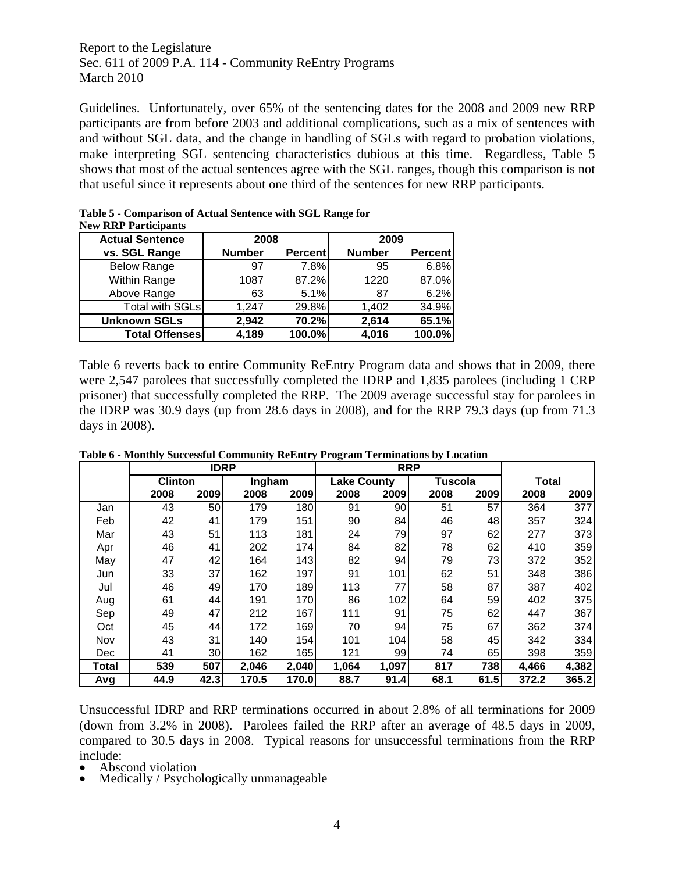Guidelines. Unfortunately, over 65% of the sentencing dates for the 2008 and 2009 new RRP participants are from before 2003 and additional complications, such as a mix of sentences with and without SGL data, and the change in handling of SGLs with regard to probation violations, make interpreting SGL sentencing characteristics dubious at this time. Regardless, Table 5 shows that most of the actual sentences agree with the SGL ranges, though this comparison is not that useful since it represents about one third of the sentences for new RRP participants.

| <b>Actual Sentence</b> | New KKP Participants<br>2008 |                |               | 2009           |  |  |
|------------------------|------------------------------|----------------|---------------|----------------|--|--|
| vs. SGL Range          | <b>Number</b>                | <b>Percent</b> | <b>Number</b> | <b>Percent</b> |  |  |
| <b>Below Range</b>     | 97                           | 7.8%           | 95            | 6.8%           |  |  |
| Within Range           | 1087                         | 87.2%          | 1220          | 87.0%          |  |  |
| Above Range            | 63                           | 5.1%           | 87            | 6.2%           |  |  |
| <b>Total with SGLs</b> | 1.247                        | 29.8%          | 1,402         | 34.9%          |  |  |
| <b>Unknown SGLs</b>    | 2,942                        | 70.2%          | 2,614         | 65.1%          |  |  |
| <b>Total Offenses</b>  | 4,189                        | 100.0%         | 4,016         | 100.0%         |  |  |

| Table 5 - Comparison of Actual Sentence with SGL Range for |  |
|------------------------------------------------------------|--|
| <b>New RRP Participants</b>                                |  |

Table 6 reverts back to entire Community ReEntry Program data and shows that in 2009, there were 2,547 parolees that successfully completed the IDRP and 1,835 parolees (including 1 CRP prisoner) that successfully completed the RRP. The 2009 average successful stay for parolees in the IDRP was 30.9 days (up from 28.6 days in 2008), and for the RRP 79.3 days (up from 71.3 days in 2008).

**Table 6 - Monthly Successful Community ReEntry Program Terminations by Location** 

|       |                | <b>IDRP</b> |        |       |                    | <b>RRP</b> |         |      |              |       |
|-------|----------------|-------------|--------|-------|--------------------|------------|---------|------|--------------|-------|
|       | <b>Clinton</b> |             | Ingham |       | <b>Lake County</b> |            | Tuscola |      | <b>Total</b> |       |
|       | 2008           | 2009        | 2008   | 2009  | 2008               | 2009       | 2008    | 2009 | 2008         | 2009  |
| Jan   | 43             | 50          | 179    | 180   | 91                 | 90         | 51      | 57   | 364          | 377   |
| Feb   | 42             | 41          | 179    | 151   | 90                 | 84         | 46      | 48   | 357          | 324   |
| Mar   | 43             | 51          | 113    | 181   | 24                 | 791        | 97      | 62   | 277          | 373   |
| Apr   | 46             | 41          | 202    | 174   | 84                 | 82         | 78      | 62   | 410          | 359   |
| May   | 47             | 42          | 164    | 143   | 82                 | 94         | 79      | 73   | 372          | 352   |
| Jun   | 33             | 37          | 162    | 197   | 91                 | 101        | 62      | 51   | 348          | 386   |
| Jul   | 46             | 49          | 170    | 189   | 113                | 77         | 58      | 87   | 387          | 402   |
| Aug   | 61             | 44          | 191    | 170   | 86                 | 102        | 64      | 59   | 402          | 375   |
| Sep   | 49             | 47          | 212    | 167   | 111                | 91         | 75      | 62   | 447          | 367   |
| Oct   | 45             | 44          | 172    | 169   | 70                 | 94         | 75      | 67   | 362          | 374   |
| Nov   | 43             | 31          | 140    | 154   | 101                | 104        | 58      | 45   | 342          | 334   |
| Dec   | 41             | 30          | 162    | 165   | 121                | 99         | 74      | 65   | 398          | 359   |
| Total | 539            | 507         | 2,046  | 2,040 | 1,064              | 1,097      | 817     | 738  | 4,466        | 4,382 |
| Avg   | 44.9           | 42.3        | 170.5  | 170.0 | 88.7               | 91.4       | 68.1    | 61.5 | 372.2        | 365.2 |

Unsuccessful IDRP and RRP terminations occurred in about 2.8% of all terminations for 2009 (down from 3.2% in 2008). Parolees failed the RRP after an average of 48.5 days in 2009, compared to 30.5 days in 2008. Typical reasons for unsuccessful terminations from the RRP include:<br>• Abscond violation

- 
- Medically / Psychologically unmanageable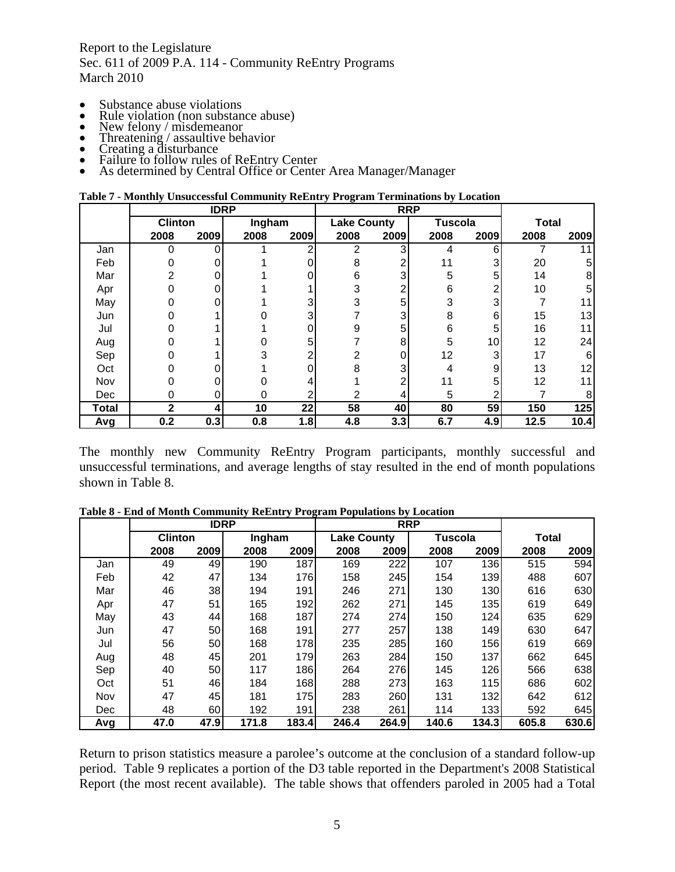- 
- 
- 
- 
- 
- 
- Substance abuse violations<br>
Rule violation (non substance abuse)<br>
New felony / misdemeanor<br>
Threatening / assaultive behavior<br>
Creating a disturbance<br>
Failure to follow rules of ReEntry Center<br>
As determined

|       | <b>IDRP</b>    |      |        |      | <b>RRP</b>         |      |                |      |              |      |
|-------|----------------|------|--------|------|--------------------|------|----------------|------|--------------|------|
|       | <b>Clinton</b> |      | Ingham |      | <b>Lake County</b> |      | <b>Tuscola</b> |      | <b>Total</b> |      |
|       | 2008           | 2009 | 2008   | 2009 | 2008               | 2009 | 2008           | 2009 | 2008         | 2009 |
| Jan   | 0              | n    |        | 2    | 2                  | 3    | 4              | 6    |              | 11   |
| Feb   |                |      |        |      | 8                  | 2    | 11             | 3    | 20           | 5    |
| Mar   | 2              |      |        |      | 6                  | 3    | 5              | 5    | 14           | 8    |
| Apr   |                |      |        |      | 3                  |      | 6              | 2    | 10           | 5    |
| May   |                |      |        | 3    | 3                  | 5    | 3              | 3    |              | 11   |
| Jun   |                |      |        | 3    |                    | 3    | 8              | 6    | 15           | 13   |
| Jul   |                |      |        |      | 9                  | 5    | 6              | 5    | 16           | 11   |
| Aug   |                |      |        | 5    |                    | 8    | 5              | 10   | 12           | 24   |
| Sep   |                |      |        | ኅ    | 2                  |      | 12             | 3    | 17           | 6    |
| Oct   |                |      |        | ი    | 8                  | 3    |                | 9    | 13           | 12   |
| Nov   |                |      |        |      |                    |      | 11             | 5    | 12           | 11   |
| Dec   |                |      |        | ⌒    | 2                  |      | 5              | 2    |              | 8    |
| Total | 2              | 4    | 10     | 22   | 58                 | 40   | 80             | 59   | 150          | 125  |
| Avg   | 0.2            | 0.3  | 0.8    | 1.8  | 4.8                | 3.3  | 6.7            | 4.9  | 12.5         | 10.4 |

The monthly new Community ReEntry Program participants, monthly successful and unsuccessful terminations, and average lengths of stay resulted in the end of month populations shown in Table 8.

**Table 8 - End of Month Community ReEntry Program Populations by Location** 

|     |                | <b>IDRP</b> |        |       |                    | <b>RRP</b> |         |            |              |       |
|-----|----------------|-------------|--------|-------|--------------------|------------|---------|------------|--------------|-------|
|     | <b>Clinton</b> |             | Ingham |       | <b>Lake County</b> |            | Tuscola |            | <b>Total</b> |       |
|     | 2008           | 2009        | 2008   | 2009  | 2008               | 2009       | 2008    | 2009       | 2008         | 2009  |
| Jan | 49             | 49          | 190    | 187   | 169                | 222        | 107     | 136        | 515          | 594   |
| Feb | 42             | 47          | 134    | 176   | 158                | 245        | 154     | 139        | 488          | 607   |
| Mar | 46             | 38          | 194    | 191   | 246                | 271        | 130     | 130        | 616          | 630   |
| Apr | 47             | 51          | 165    | 192   | 262                | 271        | 145     | 135        | 619          | 649   |
| May | 43             | 44          | 168    | 187   | 274                | 274        | 150     | 124        | 635          | 629   |
| Jun | 47             | 50          | 168    | 191   | 277                | 257        | 138     | 149        | 630          | 647   |
| Jul | 56             | 50          | 168    | 178   | 235                | 285        | 160     | 156        | 619          | 669   |
| Aug | 48             | 45          | 201    | 179   | 263                | 284        | 150     | 137        | 662          | 645   |
| Sep | 40             | 50          | 117    | 186   | 264                | 276        | 145     | 126        | 566          | 638   |
| Oct | 51             | 46          | 184    | 168   | 288                | 273        | 163     | <b>115</b> | 686          | 602   |
| Nov | 47             | 45          | 181    | 175   | 283                | 260        | 131     | 132        | 642          | 612   |
| Dec | 48             | 60          | 192    | 191   | 238                | 261        | 114     | 133        | 592          | 645   |
| Avg | 47.0           | 47.9        | 171.8  | 183.4 | 246.4              | 264.9      | 140.6   | 134.3      | 605.8        | 630.6 |

Return to prison statistics measure a parolee's outcome at the conclusion of a standard follow-up period. Table 9 replicates a portion of the D3 table reported in the Department's 2008 Statistical Report (the most recent available). The table shows that offenders paroled in 2005 had a Total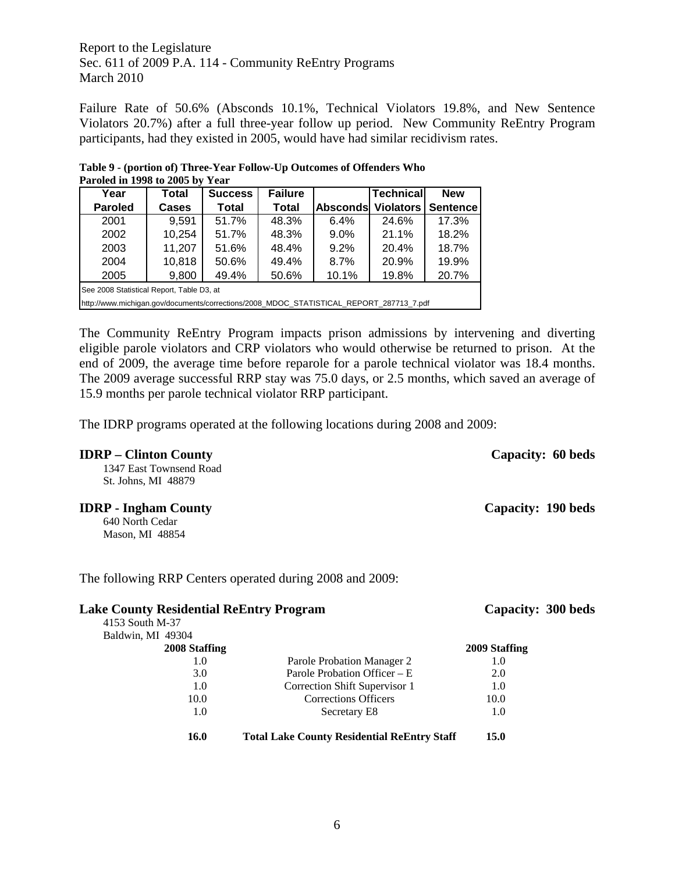Failure Rate of 50.6% (Absconds 10.1%, Technical Violators 19.8%, and New Sentence Violators 20.7%) after a full three-year follow up period. New Community ReEntry Program participants, had they existed in 2005, would have had similar recidivism rates.

**Table 9 - (portion of) Three-Year Follow-Up Outcomes of Offenders Who Paroled in 1998 to 2005 by Year** 

| Year                                                                                    | Total        | <b>Success</b> | <b>Failure</b> |                 | <b>Technical</b> | <b>New</b> |  |
|-----------------------------------------------------------------------------------------|--------------|----------------|----------------|-----------------|------------------|------------|--|
| <b>Paroled</b>                                                                          | <b>Cases</b> | <b>Total</b>   | <b>Total</b>   | <b>Absconds</b> | <b>Violators</b> | Sentence   |  |
| 2001                                                                                    | 9,591        | 51.7%          | 48.3%          | 6.4%            | 24.6%            | 17.3%      |  |
| 2002                                                                                    | 10,254       | 51.7%          | 48.3%          | $9.0\%$         | 21.1%            | 18.2%      |  |
| 2003                                                                                    | 11,207       | 51.6%          | 48.4%          | 9.2%            | 20.4%            | 18.7%      |  |
| 2004                                                                                    | 10,818       | 50.6%          | 49.4%          | 8.7%            | 20.9%            | 19.9%      |  |
| 2005                                                                                    | 9,800        | 49.4%          | 50.6%          | 10.1%           | 19.8%            | 20.7%      |  |
| See 2008 Statistical Report, Table D3, at                                               |              |                |                |                 |                  |            |  |
| http://www.michigan.gov/documents/corrections/2008 MDOC STATISTICAL REPORT 287713 7.pdf |              |                |                |                 |                  |            |  |

The Community ReEntry Program impacts prison admissions by intervening and diverting eligible parole violators and CRP violators who would otherwise be returned to prison. At the end of 2009, the average time before reparole for a parole technical violator was 18.4 months. The 2009 average successful RRP stay was 75.0 days, or 2.5 months, which saved an average of 15.9 months per parole technical violator RRP participant.

The IDRP programs operated at the following locations during 2008 and 2009:

| <b>IDRP</b> – Clinton County<br>1347 East Townsend Road<br>St. Johns, MI 48879 |                                                          | Capacity: 60 beds  |
|--------------------------------------------------------------------------------|----------------------------------------------------------|--------------------|
| <b>IDRP</b> - Ingham County<br>640 North Cedar<br>Mason, MI 48854              |                                                          | Capacity: 190 beds |
|                                                                                | The following RRP Centers operated during 2008 and 2009: |                    |
| <b>Lake County Residential ReEntry Program</b>                                 |                                                          | Capacity: 300 beds |
| 4153 South M-37                                                                |                                                          |                    |
| Baldwin, MI 49304<br>2008 Staffing                                             |                                                          | 2009 Staffing      |
| 1.0                                                                            | Parole Probation Manager 2                               | 1.0                |
| 3.0                                                                            | Parole Probation Officer – E                             | 2.0                |
| 1.0                                                                            | Correction Shift Supervisor 1                            | 1.0                |
| 10.0                                                                           | <b>Corrections Officers</b>                              | 10.0               |
| 1.0                                                                            | Secretary E8                                             | 1.0                |
| 16.0                                                                           | <b>Total Lake County Residential ReEntry Staff</b>       | 15.0               |